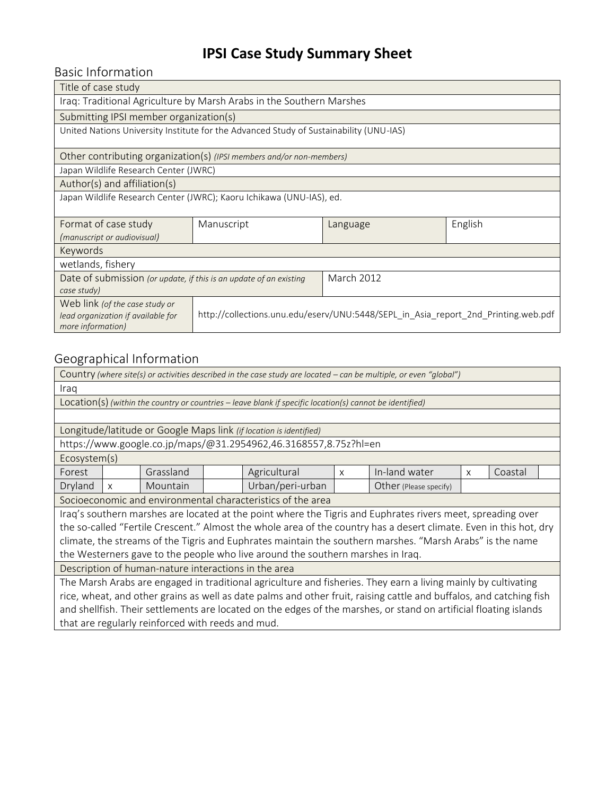# **IPSI Case Study Summary Sheet**

Basic Information

| Title of case study                                                                                                      |            |                   |         |  |  |  |  |
|--------------------------------------------------------------------------------------------------------------------------|------------|-------------------|---------|--|--|--|--|
| Iraq: Traditional Agriculture by Marsh Arabs in the Southern Marshes                                                     |            |                   |         |  |  |  |  |
| Submitting IPSI member organization(s)                                                                                   |            |                   |         |  |  |  |  |
| United Nations University Institute for the Advanced Study of Sustainability (UNU-IAS)                                   |            |                   |         |  |  |  |  |
| Other contributing organization(s) (IPSI members and/or non-members)                                                     |            |                   |         |  |  |  |  |
| Japan Wildlife Research Center (JWRC)                                                                                    |            |                   |         |  |  |  |  |
| Author(s) and affiliation(s)                                                                                             |            |                   |         |  |  |  |  |
| Japan Wildlife Research Center (JWRC); Kaoru Ichikawa (UNU-IAS), ed.                                                     |            |                   |         |  |  |  |  |
| Format of case study                                                                                                     | Manuscript | Language          | English |  |  |  |  |
| (manuscript or audiovisual)                                                                                              |            |                   |         |  |  |  |  |
| Keywords                                                                                                                 |            |                   |         |  |  |  |  |
| wetlands, fishery                                                                                                        |            |                   |         |  |  |  |  |
| Date of submission (or update, if this is an update of an existing                                                       |            | <b>March 2012</b> |         |  |  |  |  |
| case study)                                                                                                              |            |                   |         |  |  |  |  |
| Web link (of the case study or                                                                                           |            |                   |         |  |  |  |  |
| http://collections.unu.edu/eserv/UNU:5448/SEPL_in_Asia_report_2nd_Printing.web.pdf<br>lead organization if available for |            |                   |         |  |  |  |  |
| more information)                                                                                                        |            |                   |         |  |  |  |  |

### Geographical Information

| Country (where site(s) or activities described in the case study are located – can be multiple, or even "global")   |                                                                    |           |  |                                                                          |  |  |  |  |  |  |
|---------------------------------------------------------------------------------------------------------------------|--------------------------------------------------------------------|-----------|--|--------------------------------------------------------------------------|--|--|--|--|--|--|
| Iraq                                                                                                                |                                                                    |           |  |                                                                          |  |  |  |  |  |  |
| Location(s) (within the country or countries - leave blank if specific location(s) cannot be identified)            |                                                                    |           |  |                                                                          |  |  |  |  |  |  |
|                                                                                                                     |                                                                    |           |  |                                                                          |  |  |  |  |  |  |
| Longitude/latitude or Google Maps link (if location is identified)                                                  |                                                                    |           |  |                                                                          |  |  |  |  |  |  |
| https://www.google.co.jp/maps/@31.2954962,46.3168557,8.75z?hl=en                                                    |                                                                    |           |  |                                                                          |  |  |  |  |  |  |
| Ecosystem(s)                                                                                                        |                                                                    |           |  |                                                                          |  |  |  |  |  |  |
| Forest                                                                                                              |                                                                    | Grassland |  | Agricultural<br>In-land water<br>Coastal<br>$\mathsf{x}$<br>$\mathsf{x}$ |  |  |  |  |  |  |
| Dryland                                                                                                             | Urban/peri-urban<br>Mountain<br>Other (Please specify)<br>$\times$ |           |  |                                                                          |  |  |  |  |  |  |
| Socioeconomic and environmental characteristics of the area                                                         |                                                                    |           |  |                                                                          |  |  |  |  |  |  |
| Iraq's southern marshes are located at the point where the Tigris and Euphrates rivers meet, spreading over         |                                                                    |           |  |                                                                          |  |  |  |  |  |  |
| the so-called "Fertile Crescent." Almost the whole area of the country has a desert climate. Even in this hot, dry  |                                                                    |           |  |                                                                          |  |  |  |  |  |  |
| climate, the streams of the Tigris and Euphrates maintain the southern marshes. "Marsh Arabs" is the name           |                                                                    |           |  |                                                                          |  |  |  |  |  |  |
| the Westerners gave to the people who live around the southern marshes in Iraq.                                     |                                                                    |           |  |                                                                          |  |  |  |  |  |  |
| Description of human-nature interactions in the area                                                                |                                                                    |           |  |                                                                          |  |  |  |  |  |  |
| The Marsh Arabs are engaged in traditional agriculture and fisheries. They earn a living mainly by cultivating      |                                                                    |           |  |                                                                          |  |  |  |  |  |  |
| rice, wheat, and other grains as well as date palms and other fruit, raising cattle and buffalos, and catching fish |                                                                    |           |  |                                                                          |  |  |  |  |  |  |
| and shellfish. Their settlements are located on the edges of the marshes, or stand on artificial floating islands   |                                                                    |           |  |                                                                          |  |  |  |  |  |  |
| that are regularly reinforced with reeds and mud.                                                                   |                                                                    |           |  |                                                                          |  |  |  |  |  |  |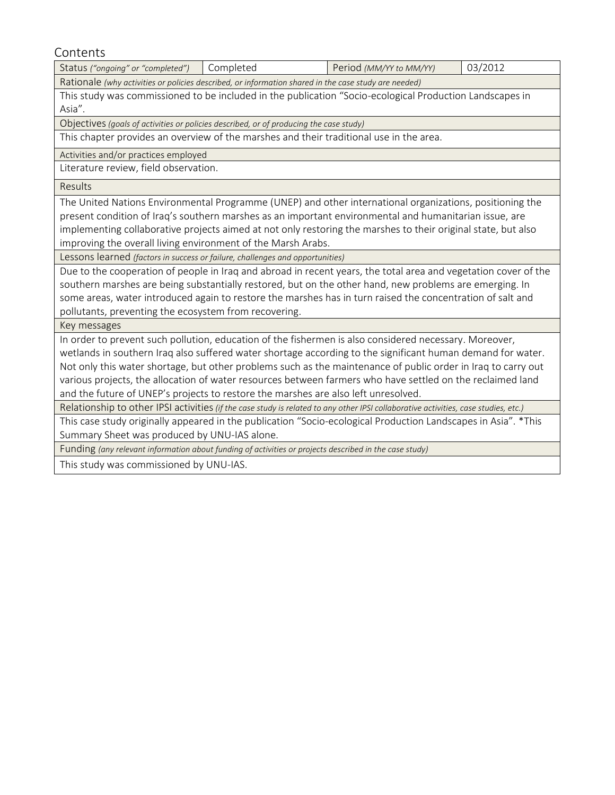**Contents** 

Status *("ongoing" or "completed")* Completed Period *(MM/YY to MM/YY)* 03/2012 Rationale *(why activities or policies described, or information shared in the case study are needed)* This study was commissioned to be included in the publication "Socio-ecological Production Landscapes in Asia". Objectives*(goals of activities or policies described, or of producing the case study)* This chapter provides an overview of the marshes and their traditional use in the area. Activities and/or practices employed Literature review, field observation.

Results

The United Nations Environmental Programme (UNEP) and other international organizations, positioning the present condition of Iraq's southern marshes as an important environmental and humanitarian issue, are implementing collaborative projects aimed at not only restoring the marshes to their original state, but also improving the overall living environment of the Marsh Arabs.

Lessons learned *(factors in success or failure, challenges and opportunities)*

Due to the cooperation of people in Iraq and abroad in recent years, the total area and vegetation cover of the southern marshes are being substantially restored, but on the other hand, new problems are emerging. In some areas, water introduced again to restore the marshes has in turn raised the concentration of salt and pollutants, preventing the ecosystem from recovering.

Key messages

In order to prevent such pollution, education of the fishermen is also considered necessary. Moreover, wetlands in southern Iraq also suffered water shortage according to the significant human demand for water. Not only this water shortage, but other problems such as the maintenance of public order in Iraq to carry out various projects, the allocation of water resources between farmers who have settled on the reclaimed land and the future of UNEP's projects to restore the marshes are also left unresolved.

Relationship to other IPSI activities *(if the case study is related to any other IPSI collaborative activities, case studies, etc.)*

This case study originally appeared in the publication "Socio-ecological Production Landscapes in Asia". \*This Summary Sheet was produced by UNU-IAS alone.

Funding *(any relevant information about funding of activities or projects described in the case study)*

This study was commissioned by UNU-IAS.